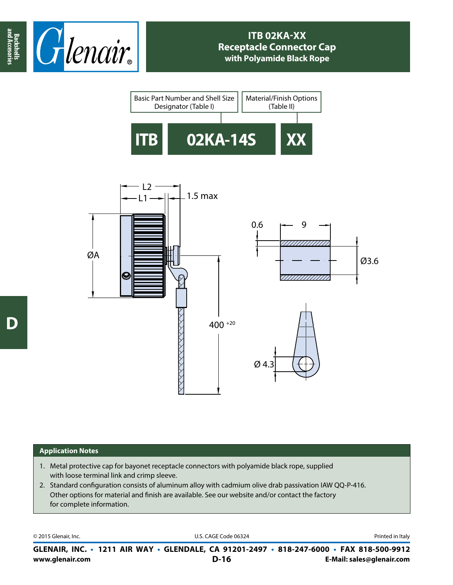





## **Application Notes**

- 1. Metal protective cap for bayonet receptacle connectors with polyamide black rope, supplied with loose terminal link and crimp sleeve.
- 2. Standard configuration consists of aluminum alloy with cadmium olive drab passivation IAW QQ-P-416. Other options for material and finish are available. See our website and/or contact the factory for complete information.

© 2015 Glenair, Inc. **Discription Construction Construction Construction Construction Construction Construction Construction Construction Construction Construction Construction Construction Construction Construction Constr** 

**www.glenair.com E-Mail: sales@glenair.com GLENAIR, INC. • 1211 AIR WAY • GLENDALE, CA 91201-2497 • 818-247-6000 • FAX 818-500-9912 D-16**